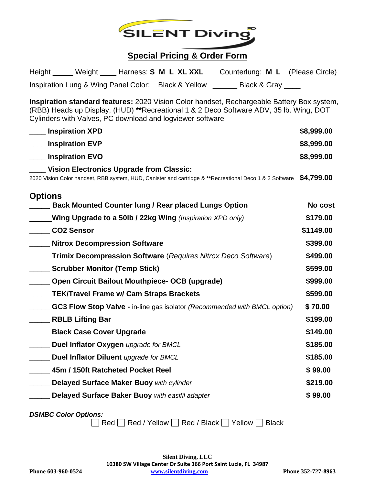

## **Special Pricing & Order Form**

|  | Height ______ Weight ____ Harness: S M L XL XXL     |                   | Counterlung: M L (Please Circle) |
|--|-----------------------------------------------------|-------------------|----------------------------------|
|  | Inspiration Lung & Wing Panel Color: Black & Yellow | Black & Gray ____ |                                  |

**Inspiration standard features:** 2020 Vision Color handset, Rechargeable Battery Box system, (RBB) Heads up Display, (HUD) **\*\***Recreational 1 & 2 Deco Software ADV, 35 lb. Wing, DOT Cylinders with Valves, PC download and logviewer software

| <b>Inspiration XPD</b>                                                                                                                                     | \$8,999.00 |
|------------------------------------------------------------------------------------------------------------------------------------------------------------|------------|
| <b>Inspiration EVP</b>                                                                                                                                     | \$8,999.00 |
| <b>Inspiration EVO</b>                                                                                                                                     | \$8,999.00 |
| <b>Vision Electronics Upgrade from Classic:</b><br>2020 Vision Color handset, RBB system, HUD, Canister and cartridge & **Recreational Deco 1 & 2 Software | \$4,799.00 |
| <b>Options</b><br><b>Back Mounted Counter lung / Rear placed Lungs Option</b>                                                                              | No cost    |
| <b>Wing Upgrade to a 50lb / 22kg Wing</b> (Inspiration XPD only)                                                                                           | \$179.00   |
| <b>CO2 Sensor</b>                                                                                                                                          | \$1149.00  |
| ___ Nitrox Decompression Software                                                                                                                          | \$399.00   |
| <b>Trimix Decompression Software</b> (Requires Nitrox Deco Software)                                                                                       | \$499.00   |
| <b>Scrubber Monitor (Temp Stick)</b>                                                                                                                       | \$599.00   |
| Open Circuit Bailout Mouthpiece- OCB (upgrade)                                                                                                             | \$999.00   |
| <b>TEK/Travel Frame w/ Cam Straps Brackets</b>                                                                                                             | \$599.00   |
| <b>GC3 Flow Stop Valve - in-line gas isolator (Recommended with BMCL option)</b>                                                                           | \$70.00    |
| <b>RBLB Lifting Bar</b>                                                                                                                                    | \$199.00   |
| __ Black Case Cover Upgrade                                                                                                                                | \$149.00   |
| Duel Inflator Oxygen upgrade for BMCL                                                                                                                      | \$185.00   |
| Duel Inflator Diluent upgrade for BMCL                                                                                                                     | \$185.00   |
| 45m / 150ft Ratcheted Pocket Reel                                                                                                                          | \$99.00    |
| Delayed Surface Maker Buoy with cylinder                                                                                                                   | \$219.00   |
| Delayed Surface Baker Buoy with easifil adapter                                                                                                            | \$99.00    |

*DSMBC Color Options:*

 $\Box$  Red  $\Box$  Red / Yellow  $\Box$  Red / Black  $\Box$  Yellow  $\Box$  Black